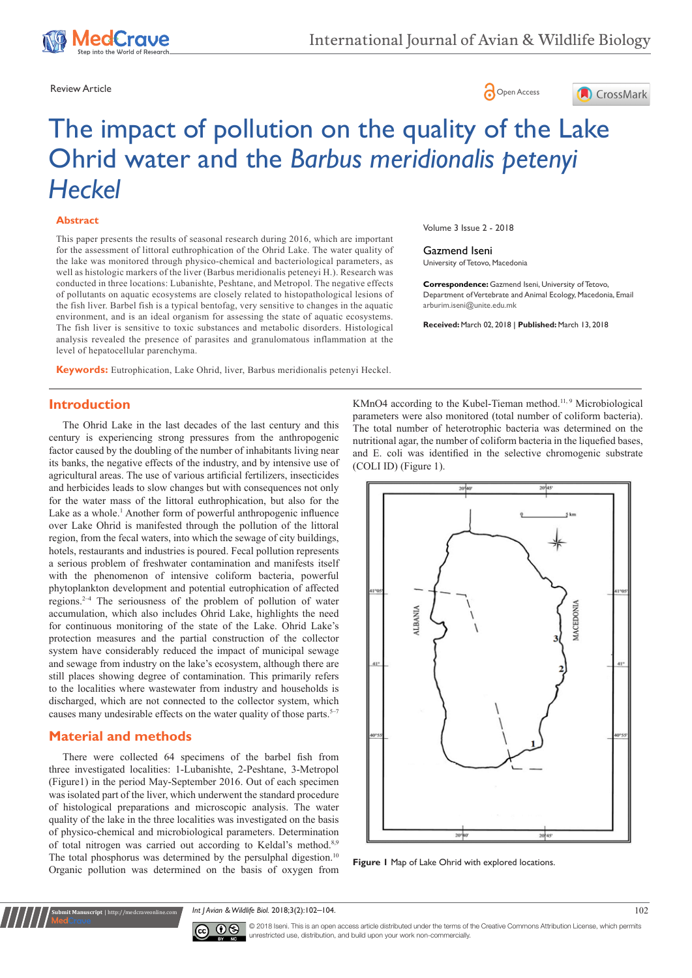





# The impact of pollution on the quality of the Lake Ohrid water and the *Barbus meridionalis petenyi Heckel*

### **Abstract**

This paper presents the results of seasonal research during 2016, which are important for the assessment of littoral euthrophication of the Ohrid Lake. The water quality of the lake was monitored through physico-chemical and bacteriological parameters, as well as histologic markers of the liver (Barbus meridionalis peteneyi H.). Research was conducted in three locations: Lubanishte, Peshtane, and Metropol. The negative effects of pollutants on aquatic ecosystems are closely related to histopathological lesions of the fish liver. Barbel fish is a typical bentofag, very sensitive to changes in the aquatic environment, and is an ideal organism for assessing the state of aquatic ecosystems. The fish liver is sensitive to toxic substances and metabolic disorders. Histological analysis revealed the presence of parasites and granulomatous inflammation at the level of hepatocellular parenchyma.

**Keywords:** Eutrophication, Lake Ohrid, liver, Barbus meridionalis petenyi Heckel.

Volume 3 Issue 2 - 2018

#### Gazmend Iseni

University of Tetovo, Macedonia

**Correspondence:** Gazmend Iseni, University of Tetovo, Department of Vertebrate and Animal Ecology, Macedonia, Email arburim.iseni@unite.edu.mk

**Received:** March 02, 2018 | **Published:** March 13, 2018

## **Introduction**

The Ohrid Lake in the last decades of the last century and this century is experiencing strong pressures from the anthropogenic factor caused by the doubling of the number of inhabitants living near its banks, the negative effects of the industry, and by intensive use of agricultural areas. The use of various artificial fertilizers, insecticides and herbicides leads to slow changes but with consequences not only for the water mass of the littoral euthrophication, but also for the Lake as a whole.<sup>1</sup> Another form of powerful anthropogenic influence over Lake Ohrid is manifested through the pollution of the littoral region, from the fecal waters, into which the sewage of city buildings, hotels, restaurants and industries is poured. Fecal pollution represents a serious problem of freshwater contamination and manifests itself with the phenomenon of intensive coliform bacteria, powerful phytoplankton development and potential eutrophication of affected regions.2–4 The seriousness of the problem of pollution of water accumulation, which also includes Ohrid Lake, highlights the need for continuous monitoring of the state of the Lake. Ohrid Lake's protection measures and the partial construction of the collector system have considerably reduced the impact of municipal sewage and sewage from industry on the lake's ecosystem, although there are still places showing degree of contamination. This primarily refers to the localities where wastewater from industry and households is discharged, which are not connected to the collector system, which causes many undesirable effects on the water quality of those parts.<sup>5-7</sup>

## **Material and methods**

**Submit Arish**<br>Submit  $\frac{1}{2}$  http://i

There were collected 64 specimens of the barbel fish from three investigated localities: 1-Lubanishte, 2-Peshtane, 3-Metropol (Figure1) in the period May-September 2016. Out of each specimen was isolated part of the liver, which underwent the standard procedure of histological preparations and microscopic analysis. The water quality of the lake in the three localities was investigated on the basis of physico-chemical and microbiological parameters. Determination of total nitrogen was carried out according to Keldal's method.<sup>8,9</sup> The total phosphorus was determined by the persulphal digestion.<sup>10</sup> Organic pollution was determined on the basis of oxygen from KMnO4 according to the Kubel-Tieman method.<sup>11, 9</sup> Microbiological parameters were also monitored (total number of coliform bacteria). The total number of heterotrophic bacteria was determined on the nutritional agar, the number of coliform bacteria in the liquefied bases, and E. coli was identified in the selective chromogenic substrate (COLI ID) (Figure 1).



**Figure 1** Map of Lake Ohrid with explored locations.

*Int J Avian & Wildlife Biol.* 2018;3(2):102–104.

© 2018 Iseni. This is an open access article distributed under the terms of the [Creative Commons Attribution License,](https://creativecommons.org/licenses/by-nc/4.0/) which permits  $0$ restricted use, distribution, and build upon your work non-commercially.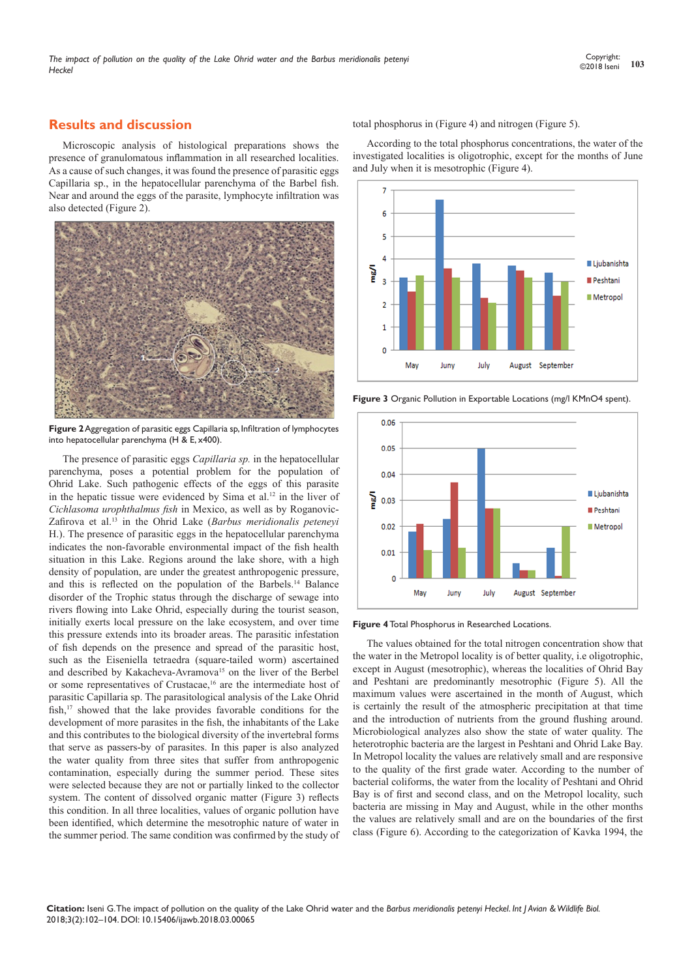# **Results and discussion**

Microscopic analysis of histological preparations shows the presence of granulomatous inflammation in all researched localities. As a cause of such changes, it was found the presence of parasitic eggs Capillaria sp., in the hepatocellular parenchyma of the Barbel fish. Near and around the eggs of the parasite, lymphocyte infiltration was also detected (Figure 2).



**Figure 2** Aggregation of parasitic eggs Capillaria sp, Infiltration of lymphocytes into hepatocellular parenchyma (H & E, x400).

The presence of parasitic eggs *Capillaria sp.* in the hepatocellular parenchyma, poses a potential problem for the population of Ohrid Lake. Such pathogenic effects of the eggs of this parasite in the hepatic tissue were evidenced by Sima et al.12 in the liver of *Cichlasoma urophthalmus fish* in Mexico, as well as by Roganovic-Zafirova et al.13 in the Ohrid Lake (*Barbus meridionalis peteneyi* H.). The presence of parasitic eggs in the hepatocellular parenchyma indicates the non-favorable environmental impact of the fish health situation in this Lake. Regions around the lake shore, with a high density of population, are under the greatest anthropogenic pressure, and this is reflected on the population of the Barbels.14 Balance disorder of the Trophic status through the discharge of sewage into rivers flowing into Lake Ohrid, especially during the tourist season, initially exerts local pressure on the lake ecosystem, and over time this pressure extends into its broader areas. The parasitic infestation of fish depends on the presence and spread of the parasitic host, such as the Eiseniella tetraedra (square-tailed worm) ascertained and described by Kakacheva-Avramova<sup>15</sup> on the liver of the Berbel or some representatives of Crustacae,<sup>16</sup> are the intermediate host of parasitic Capillaria sp. The parasitological analysis of the Lake Ohrid fish,<sup>17</sup> showed that the lake provides favorable conditions for the development of more parasites in the fish, the inhabitants of the Lake and this contributes to the biological diversity of the invertebral forms that serve as passers-by of parasites. In this paper is also analyzed the water quality from three sites that suffer from anthropogenic contamination, especially during the summer period. These sites were selected because they are not or partially linked to the collector system. The content of dissolved organic matter (Figure 3) reflects this condition. In all three localities, values of organic pollution have been identified, which determine the mesotrophic nature of water in the summer period. The same condition was confirmed by the study of total phosphorus in (Figure 4) and nitrogen (Figure 5).

According to the total phosphorus concentrations, the water of the investigated localities is oligotrophic, except for the months of June and July when it is mesotrophic (Figure 4).



**Figure 3** Organic Pollution in Exportable Locations (mg/l KMnO4 spent).





The values obtained for the total nitrogen concentration show that the water in the Metropol locality is of better quality, i.e oligotrophic, except in August (mesotrophic), whereas the localities of Ohrid Bay and Peshtani are predominantly mesotrophic (Figure 5). All the maximum values were ascertained in the month of August, which is certainly the result of the atmospheric precipitation at that time and the introduction of nutrients from the ground flushing around. Microbiological analyzes also show the state of water quality. The heterotrophic bacteria are the largest in Peshtani and Ohrid Lake Bay. In Metropol locality the values are relatively small and are responsive to the quality of the first grade water. According to the number of bacterial coliforms, the water from the locality of Peshtani and Ohrid Bay is of first and second class, and on the Metropol locality, such bacteria are missing in May and August, while in the other months the values are relatively small and are on the boundaries of the first class (Figure 6). According to the categorization of Kavka 1994, the